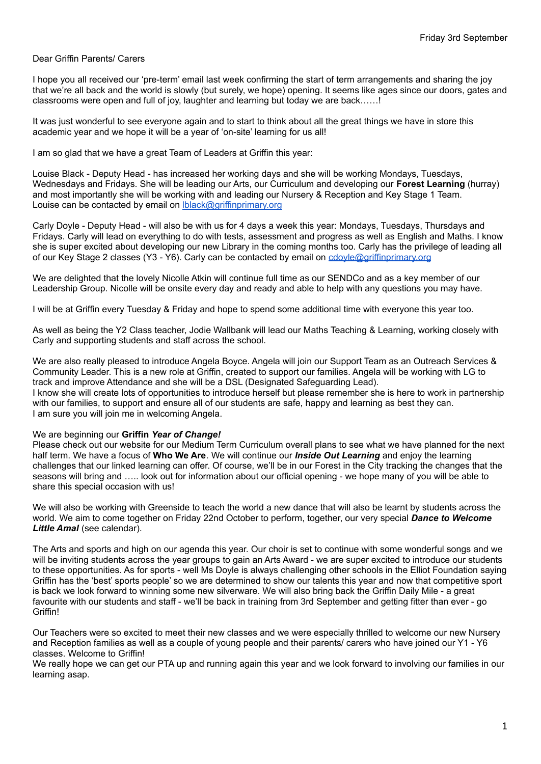#### Dear Griffin Parents/ Carers

I hope you all received our 'pre-term' email last week confirming the start of term arrangements and sharing the joy that we're all back and the world is slowly (but surely, we hope) opening. It seems like ages since our doors, gates and classrooms were open and full of joy, laughter and learning but today we are back……!

It was just wonderful to see everyone again and to start to think about all the great things we have in store this academic year and we hope it will be a year of 'on-site' learning for us all!

I am so glad that we have a great Team of Leaders at Griffin this year:

Louise Black - Deputy Head - has increased her working days and she will be working Mondays, Tuesdays, Wednesdays and Fridays. She will be leading our Arts, our Curriculum and developing our **Forest Learning** (hurray) and most importantly she will be working with and leading our Nursery & Reception and Key Stage 1 Team. Louise can be contacted by email on Iblack@griffinprimary.org

Carly Doyle - Deputy Head - will also be with us for 4 days a week this year: Mondays, Tuesdays, Thursdays and Fridays. Carly will lead on everything to do with tests, assessment and progress as well as English and Maths. I know she is super excited about developing our new Library in the coming months too. Carly has the privilege of leading all of our Key Stage 2 classes (Y3 - Y6). Carly can be contacted by email on [cdoyle@griffinprimary.org](mailto:cdoyle@griffinprimary.org)

We are delighted that the lovely Nicolle Atkin will continue full time as our SENDCo and as a key member of our Leadership Group. Nicolle will be onsite every day and ready and able to help with any questions you may have.

I will be at Griffin every Tuesday & Friday and hope to spend some additional time with everyone this year too.

As well as being the Y2 Class teacher, Jodie Wallbank will lead our Maths Teaching & Learning, working closely with Carly and supporting students and staff across the school.

We are also really pleased to introduce Angela Boyce. Angela will join our Support Team as an Outreach Services & Community Leader. This is a new role at Griffin, created to support our families. Angela will be working with LG to track and improve Attendance and she will be a DSL (Designated Safeguarding Lead). I know she will create lots of opportunities to introduce herself but please remember she is here to work in partnership with our families, to support and ensure all of our students are safe, happy and learning as best they can. I am sure you will join me in welcoming Angela.

#### We are beginning our **Griffin** *Year of Change!*

Please check out our website for our Medium Term Curriculum overall plans to see what we have planned for the next half term. We have a focus of **Who We Are**. We will continue our *Inside Out Learning* and enjoy the learning challenges that our linked learning can offer. Of course, we'll be in our Forest in the City tracking the changes that the seasons will bring and ….. look out for information about our official opening - we hope many of you will be able to share this special occasion with us!

We will also be working with Greenside to teach the world a new dance that will also be learnt by students across the world. We aim to come together on Friday 22nd October to perform, together, our very special *Dance to Welcome Little Amal* (see calendar).

The Arts and sports and high on our agenda this year. Our choir is set to continue with some wonderful songs and we will be inviting students across the year groups to gain an Arts Award - we are super excited to introduce our students to these opportunities. As for sports - well Ms Doyle is always challenging other schools in the Elliot Foundation saying Griffin has the 'best' sports people' so we are determined to show our talents this year and now that competitive sport is back we look forward to winning some new silverware. We will also bring back the Griffin Daily Mile - a great favourite with our students and staff - we'll be back in training from 3rd September and getting fitter than ever - go Griffin!

Our Teachers were so excited to meet their new classes and we were especially thrilled to welcome our new Nursery and Reception families as well as a couple of young people and their parents/ carers who have joined our Y1 - Y6 classes. Welcome to Griffin!

We really hope we can get our PTA up and running again this year and we look forward to involving our families in our learning asap.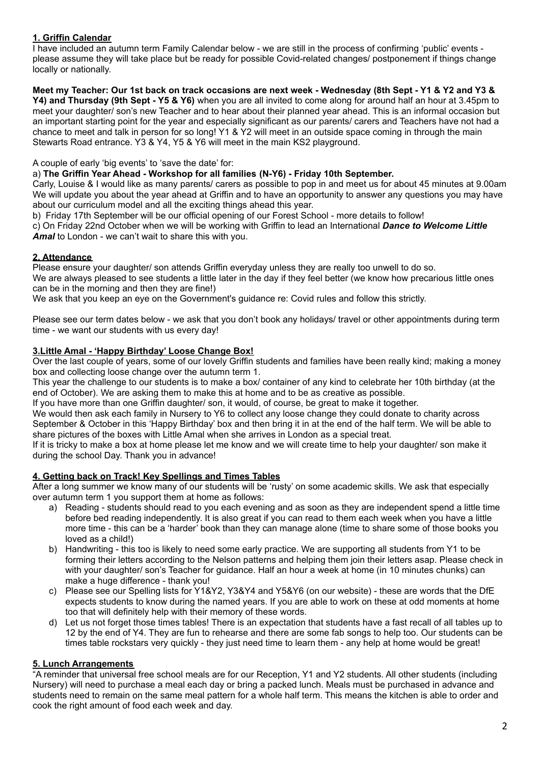# **1. Griffin Calendar**

I have included an autumn term Family Calendar below - we are still in the process of confirming 'public' events please assume they will take place but be ready for possible Covid-related changes/ postponement if things change locally or nationally.

### Meet my Teacher: Our 1st back on track occasions are next week - Wednesday (8th Sept - Y1 & Y2 and Y3 &

**Y4) and Thursday (9th Sept - Y5 & Y6)** when you are all invited to come along for around half an hour at 3.45pm to meet your daughter/ son's new Teacher and to hear about their planned year ahead. This is an informal occasion but an important starting point for the year and especially significant as our parents/ carers and Teachers have not had a chance to meet and talk in person for so long! Y1 & Y2 will meet in an outside space coming in through the main Stewarts Road entrance. Y3 & Y4, Y5 & Y6 will meet in the main KS2 playground.

A couple of early 'big events' to 'save the date' for:

### a) **The Griffin Year Ahead - Workshop for all families (N-Y6) - Friday 10th September.**

Carly, Louise & I would like as many parents/ carers as possible to pop in and meet us for about 45 minutes at 9.00am We will update you about the year ahead at Griffin and to have an opportunity to answer any questions you may have about our curriculum model and all the exciting things ahead this year.

b) Friday 17th September will be our official opening of our Forest School - more details to follow!

c) On Friday 22nd October when we will be working with Griffin to lead an International *Dance to Welcome Little Amal* to London - we can't wait to share this with you.

# **2. Attendance**

Please ensure your daughter/ son attends Griffin everyday unless they are really too unwell to do so. We are always pleased to see students a little later in the day if they feel better (we know how precarious little ones

can be in the morning and then they are fine!)

We ask that you keep an eye on the Government's guidance re: Covid rules and follow this strictly.

Please see our term dates below - we ask that you don't book any holidays/ travel or other appointments during term time - we want our students with us every day!

## **3.Little Amal - 'Happy Birthday' Loose Change Box!**

Over the last couple of years, some of our lovely Griffin students and families have been really kind; making a money box and collecting loose change over the autumn term 1.

This year the challenge to our students is to make a box/ container of any kind to celebrate her 10th birthday (at the end of October). We are asking them to make this at home and to be as creative as possible.

If you have more than one Griffin daughter/ son, it would, of course, be great to make it together.

We would then ask each family in Nursery to Y6 to collect any loose change they could donate to charity across September & October in this 'Happy Birthday' box and then bring it in at the end of the half term. We will be able to share pictures of the boxes with Little Amal when she arrives in London as a special treat.

If it is tricky to make a box at home please let me know and we will create time to help your daughter/ son make it during the school Day. Thank you in advance!

# **4. Getting back on Track! Key Spellings and Times Tables**

After a long summer we know many of our students will be 'rusty' on some academic skills. We ask that especially over autumn term 1 you support them at home as follows:

- a) Reading students should read to you each evening and as soon as they are independent spend a little time before bed reading independently. It is also great if you can read to them each week when you have a little more time - this can be a 'harder' book than they can manage alone (time to share some of those books you loved as a child!)
- b) Handwriting this too is likely to need some early practice. We are supporting all students from Y1 to be forming their letters according to the Nelson patterns and helping them join their letters asap. Please check in with your daughter/ son's Teacher for guidance. Half an hour a week at home (in 10 minutes chunks) can make a huge difference - thank you!
- c) Please see our Spelling lists for Y1&Y2, Y3&Y4 and Y5&Y6 (on our website) these are words that the DfE expects students to know during the named years. If you are able to work on these at odd moments at home too that will definitely help with their memory of these words.
- d) Let us not forget those times tables! There is an expectation that students have a fast recall of all tables up to 12 by the end of Y4. They are fun to rehearse and there are some fab songs to help too. Our students can be times table rockstars very quickly - they just need time to learn them - any help at home would be great!

# **5. Lunch Arrangements**

"A reminder that universal free school meals are for our Reception, Y1 and Y2 students. All other students (including Nursery) will need to purchase a meal each day or bring a packed lunch. Meals must be purchased in advance and students need to remain on the same meal pattern for a whole half term. This means the kitchen is able to order and cook the right amount of food each week and day.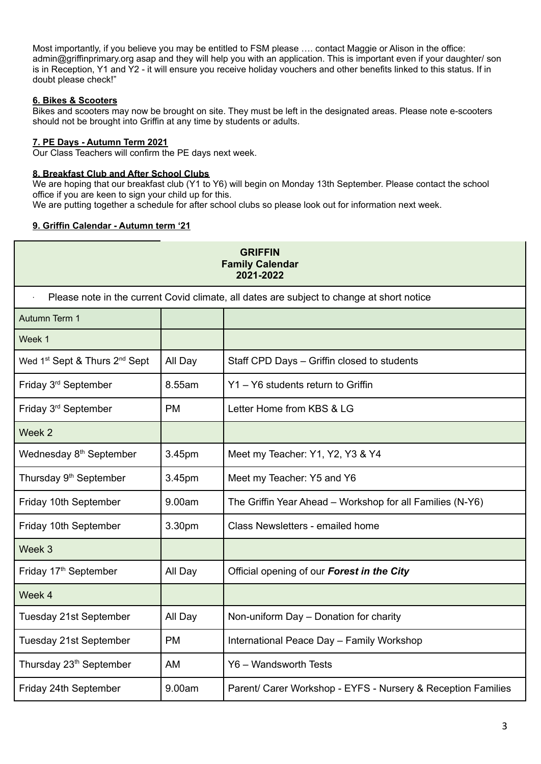Most importantly, if you believe you may be entitled to FSM please …. contact Maggie or Alison in the office: admin@griffinprimary.org asap and they will help you with an application. This is important even if your daughter/ son is in Reception, Y1 and Y2 - it will ensure you receive holiday vouchers and other benefits linked to this status. If in doubt please check!"

# **6. Bikes & Scooters**

Bikes and scooters may now be brought on site. They must be left in the designated areas. Please note e-scooters should not be brought into Griffin at any time by students or adults.

## **7. PE Days - Autumn Term 2021**

Our Class Teachers will confirm the PE days next week.

### **8. Breakfast Club and After School Clubs**

We are hoping that our breakfast club (Y1 to Y6) will begin on Monday 13th September. Please contact the school office if you are keen to sign your child up for this.

We are putting together a schedule for after school clubs so please look out for information next week.

## **9. Griffin Calendar - Autumn term '21**

| <b>GRIFFIN</b><br><b>Family Calendar</b><br>2021-2022                                     |           |                                                              |  |
|-------------------------------------------------------------------------------------------|-----------|--------------------------------------------------------------|--|
| Please note in the current Covid climate, all dates are subject to change at short notice |           |                                                              |  |
| Autumn Term 1                                                                             |           |                                                              |  |
| Week 1                                                                                    |           |                                                              |  |
| Wed 1 <sup>st</sup> Sept & Thurs 2 <sup>nd</sup> Sept                                     | All Day   | Staff CPD Days - Griffin closed to students                  |  |
| Friday 3 <sup>rd</sup> September                                                          | 8.55am    | Y1 - Y6 students return to Griffin                           |  |
| Friday 3rd September                                                                      | <b>PM</b> | Letter Home from KBS & LG                                    |  |
| Week 2                                                                                    |           |                                                              |  |
| Wednesday 8 <sup>th</sup> September                                                       | 3.45pm    | Meet my Teacher: Y1, Y2, Y3 & Y4                             |  |
| Thursday 9 <sup>th</sup> September                                                        | 3.45pm    | Meet my Teacher: Y5 and Y6                                   |  |
| Friday 10th September                                                                     | 9.00am    | The Griffin Year Ahead - Workshop for all Families (N-Y6)    |  |
| Friday 10th September                                                                     | 3.30pm    | Class Newsletters - emailed home                             |  |
| Week 3                                                                                    |           |                                                              |  |
| Friday 17 <sup>th</sup> September                                                         | All Day   | Official opening of our Forest in the City                   |  |
| Week 4                                                                                    |           |                                                              |  |
| Tuesday 21st September                                                                    | All Day   | Non-uniform Day - Donation for charity                       |  |
| Tuesday 21st September                                                                    | <b>PM</b> | International Peace Day - Family Workshop                    |  |
| Thursday 23 <sup>th</sup> September                                                       | AM        | Y6 - Wandsworth Tests                                        |  |
| Friday 24th September                                                                     | 9.00am    | Parent/ Carer Workshop - EYFS - Nursery & Reception Families |  |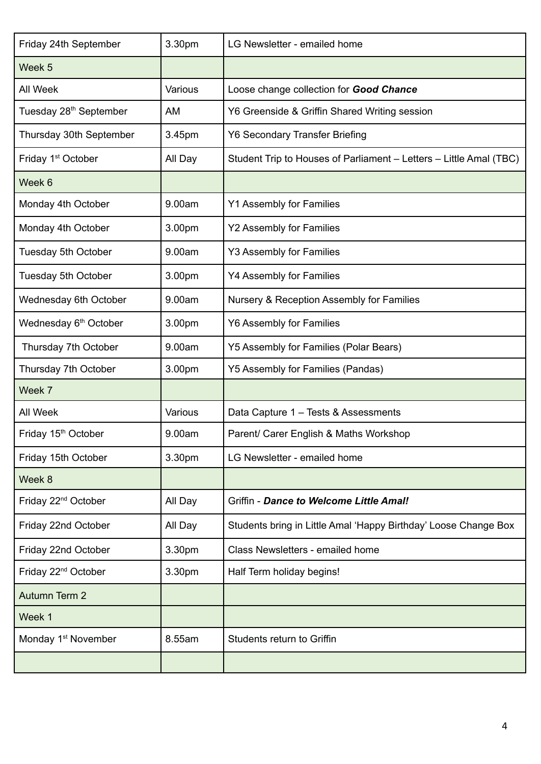| Friday 24th September              | 3.30pm  | LG Newsletter - emailed home                                       |
|------------------------------------|---------|--------------------------------------------------------------------|
| Week 5                             |         |                                                                    |
| All Week                           | Various | Loose change collection for Good Chance                            |
| Tuesday 28 <sup>th</sup> September | AM      | Y6 Greenside & Griffin Shared Writing session                      |
| Thursday 30th September            | 3.45pm  | Y6 Secondary Transfer Briefing                                     |
| Friday 1 <sup>st</sup> October     | All Day | Student Trip to Houses of Parliament – Letters – Little Amal (TBC) |
| Week 6                             |         |                                                                    |
| Monday 4th October                 | 9.00am  | <b>Y1 Assembly for Families</b>                                    |
| Monday 4th October                 | 3.00pm  | <b>Y2 Assembly for Families</b>                                    |
| Tuesday 5th October                | 9.00am  | <b>Y3 Assembly for Families</b>                                    |
| Tuesday 5th October                | 3.00pm  | <b>Y4 Assembly for Families</b>                                    |
| Wednesday 6th October              | 9.00am  | Nursery & Reception Assembly for Families                          |
| Wednesday 6 <sup>th</sup> October  | 3.00pm  | <b>Y6 Assembly for Families</b>                                    |
| Thursday 7th October               | 9.00am  | Y5 Assembly for Families (Polar Bears)                             |
| Thursday 7th October               | 3.00pm  | Y5 Assembly for Families (Pandas)                                  |
| Week 7                             |         |                                                                    |
| All Week                           | Various | Data Capture 1 - Tests & Assessments                               |
| Friday 15 <sup>th</sup> October    | 9.00am  | Parent/ Carer English & Maths Workshop                             |
| Friday 15th October                | 3.30pm  | LG Newsletter - emailed home                                       |
| Week 8                             |         |                                                                    |
| Friday 22 <sup>nd</sup> October    | All Day | Griffin - Dance to Welcome Little Amal!                            |
| Friday 22nd October                | All Day | Students bring in Little Amal 'Happy Birthday' Loose Change Box    |
| Friday 22nd October                | 3.30pm  | Class Newsletters - emailed home                                   |
| Friday 22 <sup>nd</sup> October    | 3.30pm  | Half Term holiday begins!                                          |
| Autumn Term 2                      |         |                                                                    |
| Week 1                             |         |                                                                    |
| Monday 1 <sup>st</sup> November    | 8.55am  | Students return to Griffin                                         |
|                                    |         |                                                                    |